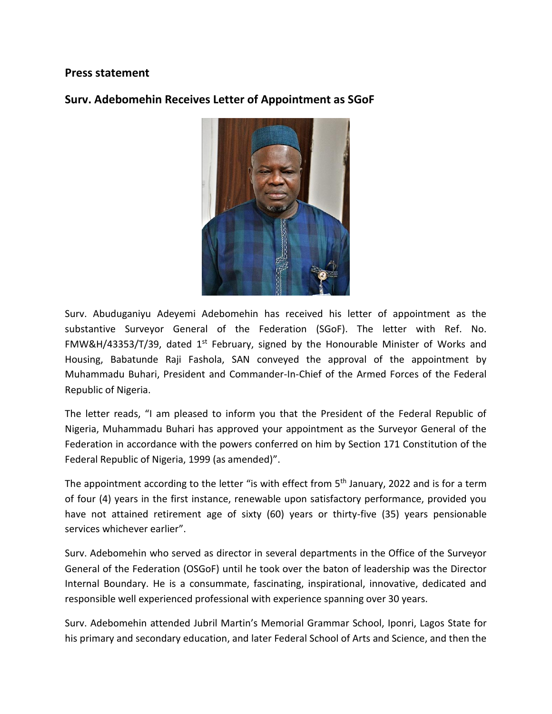## **Press statement**

## **Surv. Adebomehin Receives Letter of Appointment as SGoF**



Surv. Abuduganiyu Adeyemi Adebomehin has received his letter of appointment as the substantive Surveyor General of the Federation (SGoF). The letter with Ref. No. FMW&H/43353/T/39, dated 1<sup>st</sup> February, signed by the Honourable Minister of Works and Housing, Babatunde Raji Fashola, SAN conveyed the approval of the appointment by Muhammadu Buhari, President and Commander-In-Chief of the Armed Forces of the Federal Republic of Nigeria.

The letter reads, "I am pleased to inform you that the President of the Federal Republic of Nigeria, Muhammadu Buhari has approved your appointment as the Surveyor General of the Federation in accordance with the powers conferred on him by Section 171 Constitution of the Federal Republic of Nigeria, 1999 (as amended)".

The appointment according to the letter "is with effect from  $5<sup>th</sup>$  January, 2022 and is for a term of four (4) years in the first instance, renewable upon satisfactory performance, provided you have not attained retirement age of sixty (60) years or thirty-five (35) years pensionable services whichever earlier".

Surv. Adebomehin who served as director in several departments in the Office of the Surveyor General of the Federation (OSGoF) until he took over the baton of leadership was the Director Internal Boundary. He is a consummate, fascinating, inspirational, innovative, dedicated and responsible well experienced professional with experience spanning over 30 years.

Surv. Adebomehin attended Jubril Martin's Memorial Grammar School, Iponri, Lagos State for his primary and secondary education, and later Federal School of Arts and Science, and then the